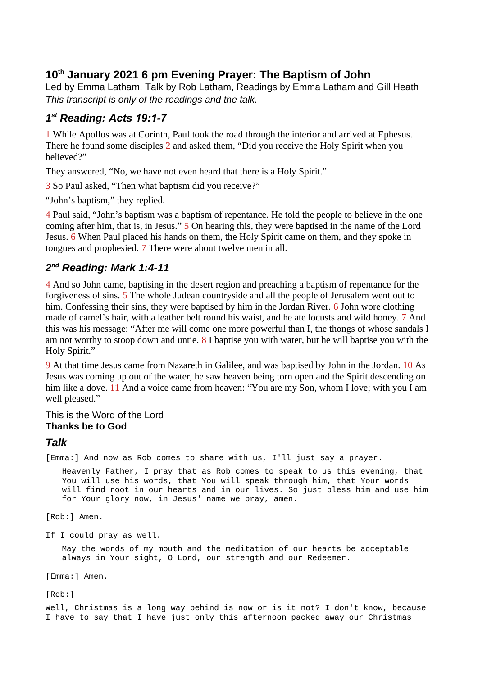## **10th January 2021 6 pm Evening Prayer: The Baptism of John**

Led by Emma Latham, Talk by Rob Latham, Readings by Emma Latham and Gill Heath *This transcript is only of the readings and the talk.*

## *1 st Reading: Acts 19:1-7*

1 While Apollos was at Corinth, Paul took the road through the interior and arrived at Ephesus. There he found some disciples 2 and asked them, "Did you receive the Holy Spirit when you believed?"

They answered, "No, we have not even heard that there is a Holy Spirit."

3 So Paul asked, "Then what baptism did you receive?"

"John's baptism," they replied.

4 Paul said, "John's baptism was a baptism of repentance. He told the people to believe in the one coming after him, that is, in Jesus." 5 On hearing this, they were baptised in the name of the Lord Jesus. 6 When Paul placed his hands on them, the Holy Spirit came on them, and they spoke in tongues and prophesied. 7 There were about twelve men in all.

## *2 nd Reading: Mark 1:4-11*

4 And so John came, baptising in the desert region and preaching a baptism of repentance for the forgiveness of sins. 5 The whole Judean countryside and all the people of Jerusalem went out to him. Confessing their sins, they were baptised by him in the Jordan River. 6 John wore clothing made of camel's hair, with a leather belt round his waist, and he ate locusts and wild honey. 7 And this was his message: "After me will come one more powerful than I, the thongs of whose sandals I am not worthy to stoop down and untie.  $8$  I baptise you with water, but he will baptise you with the Holy Spirit."

9 At that time Jesus came from Nazareth in Galilee, and was baptised by John in the Jordan. 10 As Jesus was coming up out of the water, he saw heaven being torn open and the Spirit descending on him like a dove. 11 And a voice came from heaven: "You are my Son, whom I love; with you I am well pleased."

This is the Word of the Lord **Thanks be to God**

## *Talk*

[Emma:] And now as Rob comes to share with us, I'll just say a prayer.

Heavenly Father, I pray that as Rob comes to speak to us this evening, that You will use his words, that You will speak through him, that Your words will find root in our hearts and in our lives. So just bless him and use him for Your glory now, in Jesus' name we pray, amen.

[Rob:] Amen.

If I could pray as well.

May the words of my mouth and the meditation of our hearts be acceptable always in Your sight, O Lord, our strength and our Redeemer.

[Emma:] Amen.

[Rob:]

Well, Christmas is a long way behind is now or is it not? I don't know, because I have to say that I have just only this afternoon packed away our Christmas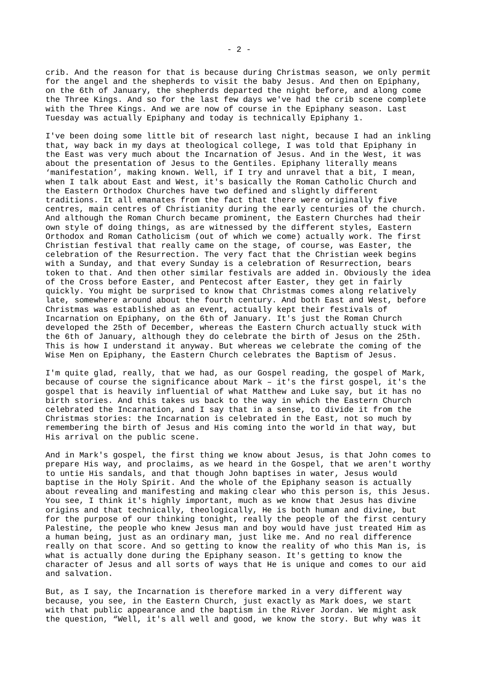crib. And the reason for that is because during Christmas season, we only permit for the angel and the shepherds to visit the baby Jesus. And then on Epiphany, on the 6th of January, the shepherds departed the night before, and along come the Three Kings. And so for the last few days we've had the crib scene complete with the Three Kings. And we are now of course in the Epiphany season. Last Tuesday was actually Epiphany and today is technically Epiphany 1.

I've been doing some little bit of research last night, because I had an inkling that, way back in my days at theological college, I was told that Epiphany in the East was very much about the Incarnation of Jesus. And in the West, it was about the presentation of Jesus to the Gentiles. Epiphany literally means 'manifestation', making known. Well, if I try and unravel that a bit, I mean, when I talk about East and West, it's basically the Roman Catholic Church and the Eastern Orthodox Churches have two defined and slightly different traditions. It all emanates from the fact that there were originally five centres, main centres of Christianity during the early centuries of the church. And although the Roman Church became prominent, the Eastern Churches had their own style of doing things, as are witnessed by the different styles, Eastern Orthodox and Roman Catholicism (out of which we come) actually work. The first Christian festival that really came on the stage, of course, was Easter, the celebration of the Resurrection. The very fact that the Christian week begins with a Sunday, and that every Sunday is a celebration of Resurrection, bears token to that. And then other similar festivals are added in. Obviously the idea of the Cross before Easter, and Pentecost after Easter, they get in fairly quickly. You might be surprised to know that Christmas comes along relatively late, somewhere around about the fourth century. And both East and West, before Christmas was established as an event, actually kept their festivals of Incarnation on Epiphany, on the 6th of January. It's just the Roman Church developed the 25th of December, whereas the Eastern Church actually stuck with the 6th of January, although they do celebrate the birth of Jesus on the 25th. This is how I understand it anyway. But whereas we celebrate the coming of the Wise Men on Epiphany, the Eastern Church celebrates the Baptism of Jesus.

I'm quite glad, really, that we had, as our Gospel reading, the gospel of Mark, because of course the significance about Mark – it's the first gospel, it's the gospel that is heavily influential of what Matthew and Luke say, but it has no birth stories. And this takes us back to the way in which the Eastern Church celebrated the Incarnation, and I say that in a sense, to divide it from the Christmas stories: the Incarnation is celebrated in the East, not so much by remembering the birth of Jesus and His coming into the world in that way, but His arrival on the public scene.

And in Mark's gospel, the first thing we know about Jesus, is that John comes to prepare His way, and proclaims, as we heard in the Gospel, that we aren't worthy to untie His sandals, and that though John baptises in water, Jesus would baptise in the Holy Spirit. And the whole of the Epiphany season is actually about revealing and manifesting and making clear who this person is, this Jesus. You see, I think it's highly important, much as we know that Jesus has divine origins and that technically, theologically, He is both human and divine, but for the purpose of our thinking tonight, really the people of the first century Palestine, the people who knew Jesus man and boy would have just treated Him as a human being, just as an ordinary man, just like me. And no real difference really on that score. And so getting to know the reality of who this Man is, is what is actually done during the Epiphany season. It's getting to know the character of Jesus and all sorts of ways that He is unique and comes to our aid and salvation.

But, as I say, the Incarnation is therefore marked in a very different way because, you see, in the Eastern Church, just exactly as Mark does, we start with that public appearance and the baptism in the River Jordan. We might ask the question, "Well, it's all well and good, we know the story. But why was it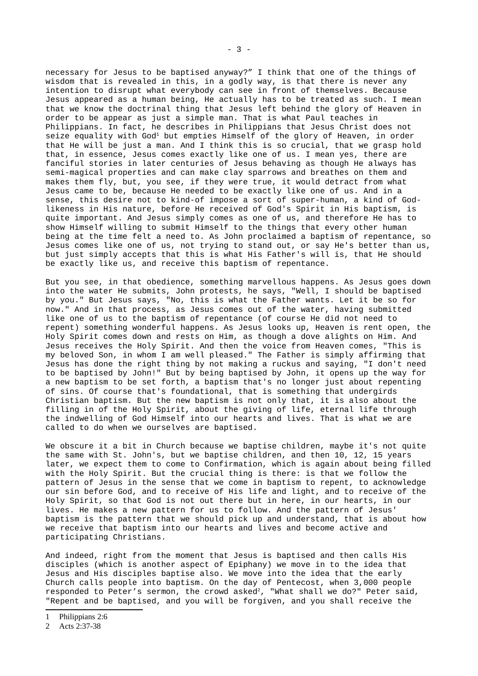necessary for Jesus to be baptised anyway?" I think that one of the things of wisdom that is revealed in this, in a godly way, is that there is never any intention to disrupt what everybody can see in front of themselves. Because Jesus appeared as a human being, He actually has to be treated as such. I mean that we know the doctrinal thing that Jesus left behind the glory of Heaven in order to be appear as just a simple man. That is what Paul teaches in Philippians. In fact, he describes in Philippians that Jesus Christ does not seize equality with God<sup>[1](#page-2-0)</sup> but empties Himself of the glory of Heaven, in order that He will be just a man. And I think this is so crucial, that we grasp hold that, in essence, Jesus comes exactly like one of us. I mean yes, there are fanciful stories in later centuries of Jesus behaving as though He always has semi-magical properties and can make clay sparrows and breathes on them and makes them fly, but, you see, if they were true, it would detract from what Jesus came to be, because He needed to be exactly like one of us. And in a sense, this desire not to kind-of impose a sort of super-human, a kind of Godlikeness in His nature, before He received of God's Spirit in His baptism, is quite important. And Jesus simply comes as one of us, and therefore He has to show Himself willing to submit Himself to the things that every other human being at the time felt a need to. As John proclaimed a baptism of repentance, so Jesus comes like one of us, not trying to stand out, or say He's better than us, but just simply accepts that this is what His Father's will is, that He should be exactly like us, and receive this baptism of repentance.

But you see, in that obedience, something marvellous happens. As Jesus goes down into the water He submits, John protests, he says, "Well, I should be baptised by you." But Jesus says, "No, this is what the Father wants. Let it be so for now." And in that process, as Jesus comes out of the water, having submitted like one of us to the baptism of repentance (of course He did not need to repent) something wonderful happens. As Jesus looks up, Heaven is rent open, the Holy Spirit comes down and rests on Him, as though a dove alights on Him. And Jesus receives the Holy Spirit. And then the voice from Heaven comes, "This is my beloved Son, in whom I am well pleased." The Father is simply affirming that Jesus has done the right thing by not making a ruckus and saying, "I don't need to be baptised by John!" But by being baptised by John, it opens up the way for a new baptism to be set forth, a baptism that's no longer just about repenting of sins. Of course that's foundational, that is something that undergirds Christian baptism. But the new baptism is not only that, it is also about the filling in of the Holy Spirit, about the giving of life, eternal life through the indwelling of God Himself into our hearts and lives. That is what we are called to do when we ourselves are baptised.

We obscure it a bit in Church because we baptise children, maybe it's not quite the same with St. John's, but we baptise children, and then 10, 12, 15 years later, we expect them to come to Confirmation, which is again about being filled with the Holy Spirit. But the crucial thing is there: is that we follow the pattern of Jesus in the sense that we come in baptism to repent, to acknowledge our sin before God, and to receive of His life and light, and to receive of the Holy Spirit, so that God is not out there but in here, in our hearts, in our lives. He makes a new pattern for us to follow. And the pattern of Jesus' baptism is the pattern that we should pick up and understand, that is about how we receive that baptism into our hearts and lives and become active and participating Christians.

And indeed, right from the moment that Jesus is baptised and then calls His disciples (which is another aspect of Epiphany) we move in to the idea that Jesus and His disciples baptise also. We move into the idea that the early Church calls people into baptism. On the day of Pentecost, when 3,000 people responded to Peter's sermon, the crowd asked<sup>[2](#page-2-1)</sup>, "What shall we do?" Peter said, "Repent and be baptised, and you will be forgiven, and you shall receive the

<span id="page-2-0"></span>1 Philippians 2:6

<span id="page-2-1"></span><sup>2</sup> Acts 2:37-38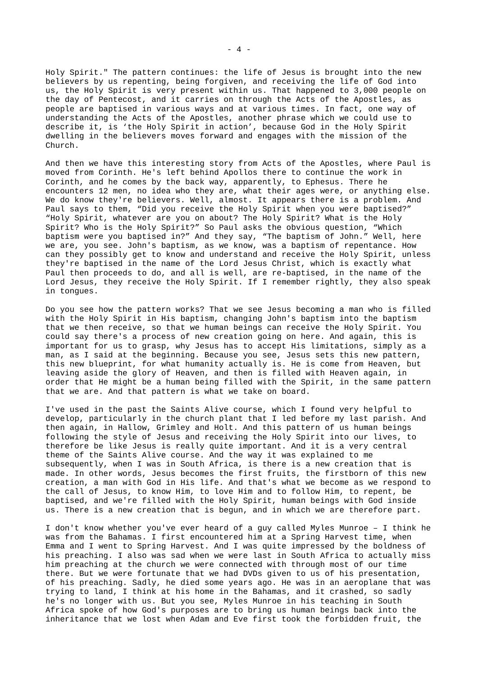Holy Spirit." The pattern continues: the life of Jesus is brought into the new believers by us repenting, being forgiven, and receiving the life of God into us, the Holy Spirit is very present within us. That happened to 3,000 people on the day of Pentecost, and it carries on through the Acts of the Apostles, as people are baptised in various ways and at various times. In fact, one way of understanding the Acts of the Apostles, another phrase which we could use to describe it, is 'the Holy Spirit in action', because God in the Holy Spirit dwelling in the believers moves forward and engages with the mission of the Church.

And then we have this interesting story from Acts of the Apostles, where Paul is moved from Corinth. He's left behind Apollos there to continue the work in Corinth, and he comes by the back way, apparently, to Ephesus. There he encounters 12 men, no idea who they are, what their ages were, or anything else. We do know they're believers. Well, almost. It appears there is a problem. And Paul says to them, "Did you receive the Holy Spirit when you were baptised?" "Holy Spirit, whatever are you on about? The Holy Spirit? What is the Holy Spirit? Who is the Holy Spirit?" So Paul asks the obvious question, "Which baptism were you baptised in?" And they say, "The baptism of John." Well, here we are, you see. John's baptism, as we know, was a baptism of repentance. How can they possibly get to know and understand and receive the Holy Spirit, unless they're baptised in the name of the Lord Jesus Christ, which is exactly what Paul then proceeds to do, and all is well, are re-baptised, in the name of the Lord Jesus, they receive the Holy Spirit. If I remember rightly, they also speak in tongues.

Do you see how the pattern works? That we see Jesus becoming a man who is filled with the Holy Spirit in His baptism, changing John's baptism into the baptism that we then receive, so that we human beings can receive the Holy Spirit. You could say there's a process of new creation going on here. And again, this is important for us to grasp, why Jesus has to accept His limitations, simply as a man, as I said at the beginning. Because you see, Jesus sets this new pattern, this new blueprint, for what humanity actually is. He is come from Heaven, but leaving aside the glory of Heaven, and then is filled with Heaven again, in order that He might be a human being filled with the Spirit, in the same pattern that we are. And that pattern is what we take on board.

I've used in the past the Saints Alive course, which I found very helpful to develop, particularly in the church plant that I led before my last parish. And then again, in Hallow, Grimley and Holt. And this pattern of us human beings following the style of Jesus and receiving the Holy Spirit into our lives, to therefore be like Jesus is really quite important. And it is a very central theme of the Saints Alive course. And the way it was explained to me subsequently, when I was in South Africa, is there is a new creation that is made. In other words, Jesus becomes the first fruits, the firstborn of this new creation, a man with God in His life. And that's what we become as we respond to the call of Jesus, to know Him, to love Him and to follow Him, to repent, be baptised, and we're filled with the Holy Spirit, human beings with God inside us. There is a new creation that is begun, and in which we are therefore part.

I don't know whether you've ever heard of a guy called Myles Munroe – I think he was from the Bahamas. I first encountered him at a Spring Harvest time, when Emma and I went to Spring Harvest. And I was quite impressed by the boldness of his preaching. I also was sad when we were last in South Africa to actually miss him preaching at the church we were connected with through most of our time there. But we were fortunate that we had DVDs given to us of his presentation, of his preaching. Sadly, he died some years ago. He was in an aeroplane that was trying to land, I think at his home in the Bahamas, and it crashed, so sadly he's no longer with us. But you see, Myles Munroe in his teaching in South Africa spoke of how God's purposes are to bring us human beings back into the inheritance that we lost when Adam and Eve first took the forbidden fruit, the